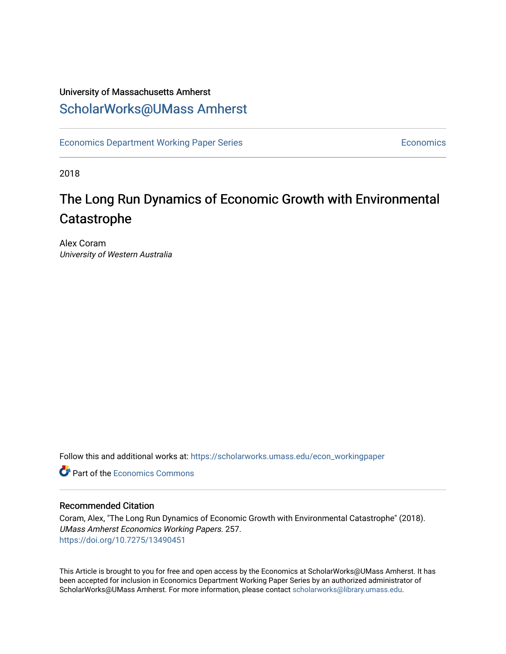## University of Massachusetts Amherst [ScholarWorks@UMass Amherst](https://scholarworks.umass.edu/)

[Economics Department Working Paper Series](https://scholarworks.umass.edu/econ_workingpaper) **Economics** Economics

2018

# The Long Run Dynamics of Economic Growth with Environmental Catastrophe

Alex Coram University of Western Australia

Follow this and additional works at: [https://scholarworks.umass.edu/econ\\_workingpaper](https://scholarworks.umass.edu/econ_workingpaper?utm_source=scholarworks.umass.edu%2Fecon_workingpaper%2F257&utm_medium=PDF&utm_campaign=PDFCoverPages) 

**C** Part of the [Economics Commons](http://network.bepress.com/hgg/discipline/340?utm_source=scholarworks.umass.edu%2Fecon_workingpaper%2F257&utm_medium=PDF&utm_campaign=PDFCoverPages)

## Recommended Citation

Coram, Alex, "The Long Run Dynamics of Economic Growth with Environmental Catastrophe" (2018). UMass Amherst Economics Working Papers. 257. <https://doi.org/10.7275/13490451>

This Article is brought to you for free and open access by the Economics at ScholarWorks@UMass Amherst. It has been accepted for inclusion in Economics Department Working Paper Series by an authorized administrator of ScholarWorks@UMass Amherst. For more information, please contact [scholarworks@library.umass.edu.](mailto:scholarworks@library.umass.edu)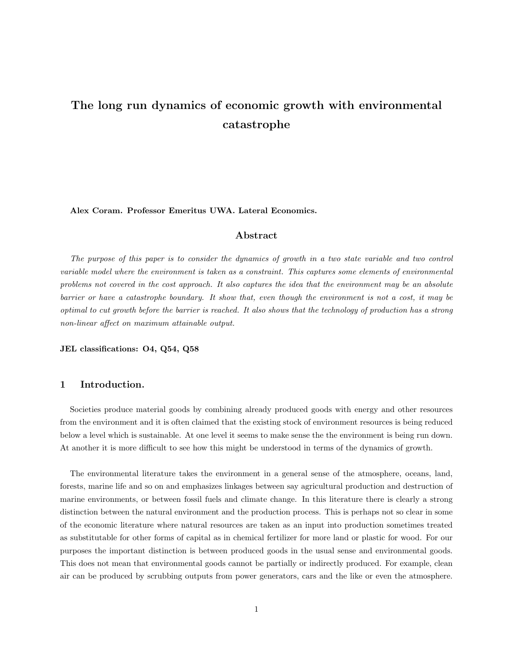## The long run dynamics of economic growth with environmental catastrophe

Alex Coram. Professor Emeritus UWA. Lateral Economics.

## Abstract

The purpose of this paper is to consider the dynamics of growth in a two state variable and two control variable model where the environment is taken as a constraint. This captures some elements of environmental problems not covered in the cost approach. It also captures the idea that the environment may be an absolute barrier or have a catastrophe boundary. It show that, even though the environment is not a cost, it may be optimal to cut growth before the barrier is reached. It also shows that the technology of production has a strong non-linear affect on maximum attainable output.

JEL classifications: O4, Q54, Q58

## 1 Introduction.

Societies produce material goods by combining already produced goods with energy and other resources from the environment and it is often claimed that the existing stock of environment resources is being reduced below a level which is sustainable. At one level it seems to make sense the the environment is being run down. At another it is more difficult to see how this might be understood in terms of the dynamics of growth.

The environmental literature takes the environment in a general sense of the atmosphere, oceans, land, forests, marine life and so on and emphasizes linkages between say agricultural production and destruction of marine environments, or between fossil fuels and climate change. In this literature there is clearly a strong distinction between the natural environment and the production process. This is perhaps not so clear in some of the economic literature where natural resources are taken as an input into production sometimes treated as substitutable for other forms of capital as in chemical fertilizer for more land or plastic for wood. For our purposes the important distinction is between produced goods in the usual sense and environmental goods. This does not mean that environmental goods cannot be partially or indirectly produced. For example, clean air can be produced by scrubbing outputs from power generators, cars and the like or even the atmosphere.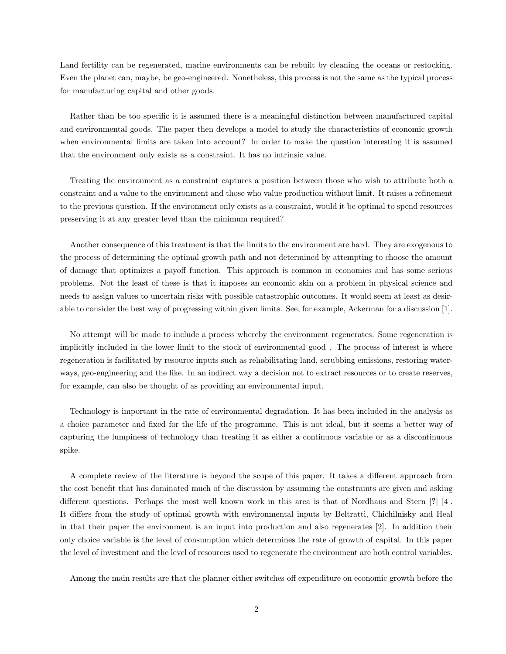Land fertility can be regenerated, marine environments can be rebuilt by cleaning the oceans or restocking. Even the planet can, maybe, be geo-engineered. Nonetheless, this process is not the same as the typical process for manufacturing capital and other goods.

Rather than be too specific it is assumed there is a meaningful distinction between manufactured capital and environmental goods. The paper then develops a model to study the characteristics of economic growth when environmental limits are taken into account? In order to make the question interesting it is assumed that the environment only exists as a constraint. It has no intrinsic value.

Treating the environment as a constraint captures a position between those who wish to attribute both a constraint and a value to the environment and those who value production without limit. It raises a refinement to the previous question. If the environment only exists as a constraint, would it be optimal to spend resources preserving it at any greater level than the minimum required?

Another consequence of this treatment is that the limits to the environment are hard. They are exogenous to the process of determining the optimal growth path and not determined by attempting to choose the amount of damage that optimizes a payoff function. This approach is common in economics and has some serious problems. Not the least of these is that it imposes an economic skin on a problem in physical science and needs to assign values to uncertain risks with possible catastrophic outcomes. It would seem at least as desirable to consider the best way of progressing within given limits. See, for example, Ackerman for a discussion [1].

No attempt will be made to include a process whereby the environment regenerates. Some regeneration is implicitly included in the lower limit to the stock of environmental good . The process of interest is where regeneration is facilitated by resource inputs such as rehabilitating land, scrubbing emissions, restoring waterways, geo-engineering and the like. In an indirect way a decision not to extract resources or to create reserves, for example, can also be thought of as providing an environmental input.

Technology is important in the rate of environmental degradation. It has been included in the analysis as a choice parameter and fixed for the life of the programme. This is not ideal, but it seems a better way of capturing the lumpiness of technology than treating it as either a continuous variable or as a discontinuous spike.

A complete review of the literature is beyond the scope of this paper. It takes a different approach from the cost benefit that has dominated much of the discussion by assuming the constraints are given and asking different questions. Perhaps the most well known work in this area is that of Nordhaus and Stern [?] [4]. It differs from the study of optimal growth with environmental inputs by Beltratti, Chichilnisky and Heal in that their paper the environment is an input into production and also regenerates [2]. In addition their only choice variable is the level of consumption which determines the rate of growth of capital. In this paper the level of investment and the level of resources used to regenerate the environment are both control variables.

Among the main results are that the planner either switches off expenditure on economic growth before the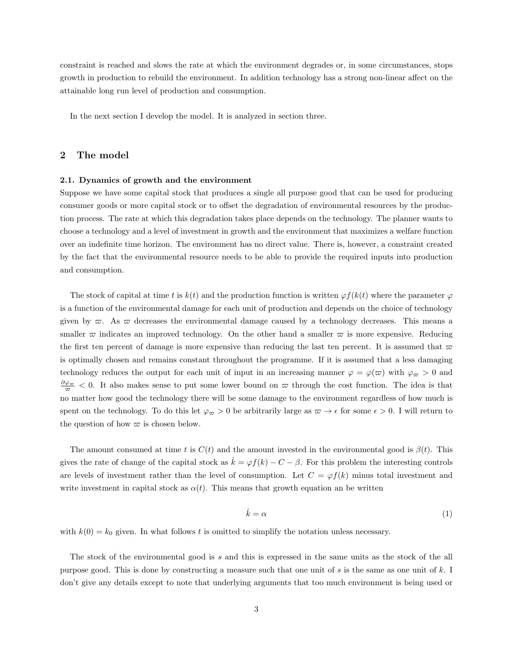constraint is reached and slows the rate at which the environment degrades or, in some circumstances, stops growth in production to rebuild the environment. In addition technology has a strong non-linear affect on the attainable long run level of production and consumption.

In the next section I develop the model. It is analyzed in section three.

### 2 The model

#### 2.1. Dynamics of growth and the environment

Suppose we have some capital stock that produces a single all purpose good that can be used for producing consumer goods or more capital stock or to offset the degradation of environmental resources by the production process. The rate at which this degradation takes place depends on the technology. The planner wants to choose a technology and a level of investment in growth and the environment that maximizes a welfare function over an indefinite time horizon. The environment has no direct value. There is, however, a constraint created by the fact that the environmental resource needs to be able to provide the required inputs into production and consumption.

The stock of capital at time t is  $k(t)$  and the production function is written  $\varphi f(k(t))$  where the parameter  $\varphi$ is a function of the environmental damage for each unit of production and depends on the choice of technology given by  $\varpi$ . As  $\varpi$  decreases the environmental damage caused by a technology decreases. This means a smaller  $\bar{\omega}$  indicates an improved technology. On the other hand a smaller  $\bar{\omega}$  is more expensive. Reducing the first ten percent of damage is more expensive than reducing the last ten percent. It is assumed that  $\varpi$ is optimally chosen and remains constant throughout the programme. If it is assumed that a less damaging technology reduces the output for each unit of input in an increasing manner  $\varphi = \varphi(\varpi)$  with  $\varphi_{\varpi} > 0$  and  $\frac{\partial \varphi_{\varpi}}{\varpi}$  < 0. It also makes sense to put some lower bound on  $\varpi$  through the cost function. The idea is that no matter how good the technology there will be some damage to the environment regardless of how much is spent on the technology. To do this let  $\varphi_{\varpi} > 0$  be arbitrarily large as  $\varpi \to \epsilon$  for some  $\epsilon > 0$ . I will return to the question of how  $\varpi$  is chosen below.

The amount consumed at time t is  $C(t)$  and the amount invested in the environmental good is  $\beta(t)$ . This gives the rate of change of the capital stock as  $\dot{k} = \varphi f(k) - C - \beta$ . For this problem the interesting controls are levels of investment rather than the level of consumption. Let  $C = \varphi f(k)$  minus total investment and write investment in capital stock as  $\alpha(t)$ . This means that growth equation an be written

$$
\dot{k} = \alpha \tag{1}
$$

with  $k(0) = k_0$  given. In what follows t is omitted to simplify the notation unless necessary.

The stock of the environmental good is s and this is expressed in the same units as the stock of the all purpose good. This is done by constructing a measure such that one unit of s is the same as one unit of k. I don't give any details except to note that underlying arguments that too much environment is being used or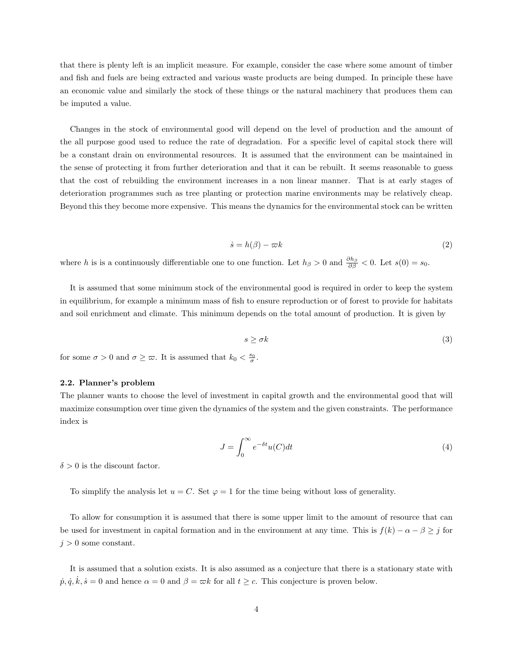that there is plenty left is an implicit measure. For example, consider the case where some amount of timber and fish and fuels are being extracted and various waste products are being dumped. In principle these have an economic value and similarly the stock of these things or the natural machinery that produces them can be imputed a value.

Changes in the stock of environmental good will depend on the level of production and the amount of the all purpose good used to reduce the rate of degradation. For a specific level of capital stock there will be a constant drain on environmental resources. It is assumed that the environment can be maintained in the sense of protecting it from further deterioration and that it can be rebuilt. It seems reasonable to guess that the cost of rebuilding the environment increases in a non linear manner. That is at early stages of deterioration programmes such as tree planting or protection marine environments may be relatively cheap. Beyond this they become more expensive. This means the dynamics for the environmental stock can be written

$$
\dot{s} = h(\beta) - \varpi k \tag{2}
$$

where h is is a continuously differentiable one to one function. Let  $h_{\beta} > 0$  and  $\frac{\partial h_{\beta}}{\partial \beta} < 0$ . Let  $s(0) = s_0$ .

It is assumed that some minimum stock of the environmental good is required in order to keep the system in equilibrium, for example a minimum mass of fish to ensure reproduction or of forest to provide for habitats and soil enrichment and climate. This minimum depends on the total amount of production. It is given by

$$
s \ge \sigma k \tag{3}
$$

for some  $\sigma > 0$  and  $\sigma \geq \varpi$ . It is assumed that  $k_0 < \frac{s_0}{\sigma}$ .

#### 2.2. Planner's problem

The planner wants to choose the level of investment in capital growth and the environmental good that will maximize consumption over time given the dynamics of the system and the given constraints. The performance index is

$$
J = \int_0^\infty e^{-\delta t} u(C) dt
$$
 (4)

 $\delta > 0$  is the discount factor.

To simplify the analysis let  $u = C$ . Set  $\varphi = 1$  for the time being without loss of generality.

To allow for consumption it is assumed that there is some upper limit to the amount of resource that can be used for investment in capital formation and in the environment at any time. This is  $f(k) - \alpha - \beta \geq j$  for  $j > 0$  some constant.

It is assumed that a solution exists. It is also assumed as a conjecture that there is a stationary state with  $\dot{p}, \dot{q}, \dot{k}, \dot{s} = 0$  and hence  $\alpha = 0$  and  $\beta = \varpi k$  for all  $t \ge c$ . This conjecture is proven below.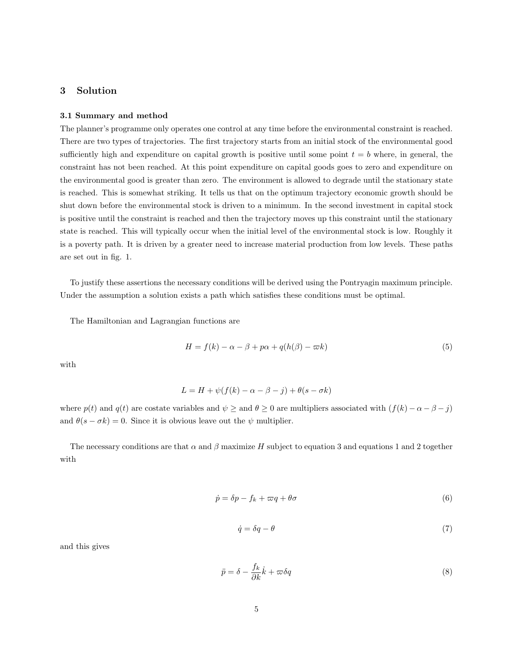## 3 Solution

#### 3.1 Summary and method

The planner's programme only operates one control at any time before the environmental constraint is reached. There are two types of trajectories. The first trajectory starts from an initial stock of the environmental good sufficiently high and expenditure on capital growth is positive until some point  $t = b$  where, in general, the constraint has not been reached. At this point expenditure on capital goods goes to zero and expenditure on the environmental good is greater than zero. The environment is allowed to degrade until the stationary state is reached. This is somewhat striking. It tells us that on the optimum trajectory economic growth should be shut down before the environmental stock is driven to a minimum. In the second investment in capital stock is positive until the constraint is reached and then the trajectory moves up this constraint until the stationary state is reached. This will typically occur when the initial level of the environmental stock is low. Roughly it is a poverty path. It is driven by a greater need to increase material production from low levels. These paths are set out in fig. 1.

To justify these assertions the necessary conditions will be derived using the Pontryagin maximum principle. Under the assumption a solution exists a path which satisfies these conditions must be optimal.

The Hamiltonian and Lagrangian functions are

$$
H = f(k) - \alpha - \beta + p\alpha + q(h(\beta) - \varpi k)
$$
\n(5)

with

$$
L = H + \psi(f(k) - \alpha - \beta - j) + \theta(s - \sigma k)
$$

where  $p(t)$  and  $q(t)$  are costate variables and  $\psi \ge$  and  $\theta \ge 0$  are multipliers associated with  $(f(k) - \alpha - \beta - j)$ and  $\theta(s - \sigma k) = 0$ . Since it is obvious leave out the  $\psi$  multiplier.

The necessary conditions are that  $\alpha$  and  $\beta$  maximize H subject to equation 3 and equations 1 and 2 together with

$$
\dot{p} = \delta p - f_k + \varpi q + \theta \sigma \tag{6}
$$

$$
\dot{q} = \delta q - \theta \tag{7}
$$

and this gives

$$
\ddot{p} = \delta - \frac{f_k}{\partial k} \dot{k} + \varpi \delta q \tag{8}
$$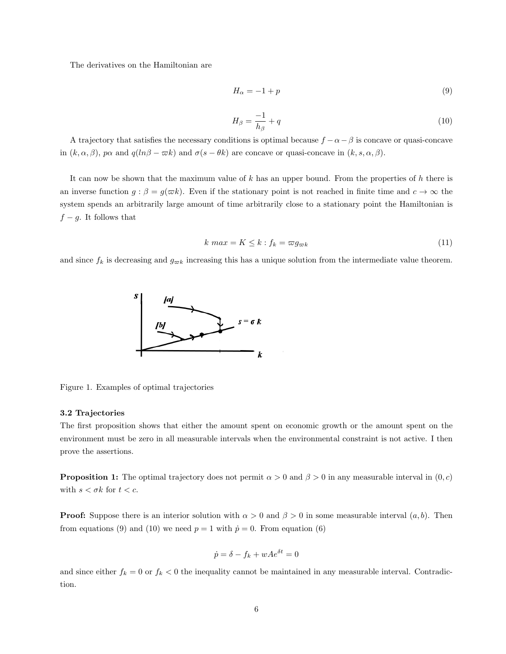The derivatives on the Hamiltonian are

$$
H_{\alpha} = -1 + p \tag{9}
$$

$$
H_{\beta} = \frac{-1}{h_{\beta}} + q \tag{10}
$$

A trajectory that satisfies the necessary conditions is optimal because  $f - \alpha - \beta$  is concave or quasi-concave in  $(k, \alpha, \beta)$ ,  $p\alpha$  and  $q(ln\beta - \overline{\alpha}k)$  and  $\sigma(s - \theta k)$  are concave or quasi-concave in  $(k, s, \alpha, \beta)$ .

It can now be shown that the maximum value of  $k$  has an upper bound. From the properties of  $h$  there is an inverse function  $g : \beta = g(\overline{\omega k})$ . Even if the stationary point is not reached in finite time and  $c \to \infty$  the system spends an arbitrarily large amount of time arbitrarily close to a stationary point the Hamiltonian is  $f - g$ . It follows that

$$
k \ max = K \le k : f_k = \varpi g_{\varpi k} \tag{11}
$$

and since  $f_k$  is decreasing and  $g_{\varpi k}$  increasing this has a unique solution from the intermediate value theorem.



Figure 1. Examples of optimal trajectories

#### 3.2 Trajectories

The first proposition shows that either the amount spent on economic growth or the amount spent on the environment must be zero in all measurable intervals when the environmental constraint is not active. I then prove the assertions.

**Proposition 1:** The optimal trajectory does not permit  $\alpha > 0$  and  $\beta > 0$  in any measurable interval in  $(0, c)$ with  $s < \sigma k$  for  $t < c$ .

**Proof:** Suppose there is an interior solution with  $\alpha > 0$  and  $\beta > 0$  in some measurable interval  $(a, b)$ . Then from equations (9) and (10) we need  $p = 1$  with  $\dot{p} = 0$ . From equation (6)

$$
\dot{p} = \delta - f_k + wAe^{\delta t} = 0
$$

and since either  $f_k = 0$  or  $f_k < 0$  the inequality cannot be maintained in any measurable interval. Contradiction.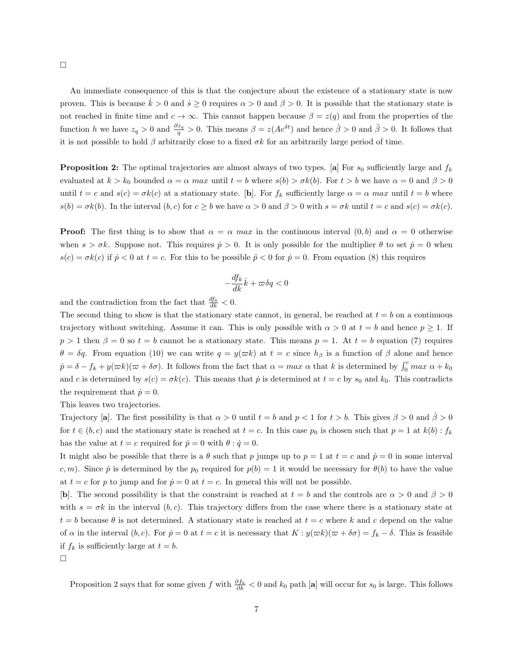$\Box$ 

An immediate consequence of this is that the conjecture about the existence of a stationary state is now proven. This is because  $\dot{k} > 0$  and  $\dot{s} \ge 0$  requires  $\alpha > 0$  and  $\beta > 0$ . It is possible that the stationary state is not reached in finite time and  $c \to \infty$ . This cannot happen because  $\beta = z(q)$  and from the properties of the function h we have  $z_q > 0$  and  $\frac{\partial z_q}{\partial q} > 0$ . This means  $\beta = z(Ae^{\delta t})$  and hence  $\dot{\beta} > 0$  and  $\ddot{\beta} > 0$ . It follows that it is not possible to hold  $\beta$  arbitrarily close to a fixed  $\sigma k$  for an arbitrarily large period of time.

**Proposition 2:** The optimal trajectories are almost always of two types. [a] For  $s_0$  sufficiently large and  $f_k$ evaluated at  $k > k_0$  bounded  $\alpha = \alpha$  max until  $t = b$  where  $s(b) > \sigma k(b)$ . For  $t > b$  we have  $\alpha = 0$  and  $\beta > 0$ until  $t = c$  and  $s(c) = \sigma k(c)$  at a stationary state. [b]. For  $f_k$  sufficiently large  $\alpha = \alpha$  max until  $t = b$  where  $s(b) = \sigma k(b)$ . In the interval  $(b, c)$  for  $c \ge b$  we have  $\alpha > 0$  and  $\beta > 0$  with  $s = \sigma k$  until  $t = c$  and  $s(c) = \sigma k(c)$ .

**Proof:** The first thing is to show that  $\alpha = \alpha$  max in the continuous interval  $(0, b)$  and  $\alpha = 0$  otherwise when  $s > \sigma k$ . Suppose not. This requires  $\dot{p} > 0$ . It is only possible for the multiplier  $\theta$  to set  $\dot{p} = 0$  when  $s(c) = \sigma k(c)$  if  $\dot{p} < 0$  at  $t = c$ . For this to be possible  $\ddot{p} < 0$  for  $\dot{p} = 0$ . From equation (8) this requires

$$
-\frac{df_k}{dk}\dot{k}+\varpi \delta q<0
$$

and the contradiction from the fact that  $\frac{df_k}{dk} < 0$ .

The second thing to show is that the stationary state cannot, in general, be reached at  $t = b$  on a continuous trajectory without switching. Assume it can. This is only possible with  $\alpha > 0$  at  $t = b$  and hence  $p \ge 1$ . If  $p > 1$  then  $\beta = 0$  so  $t = b$  cannot be a stationary state. This means  $p = 1$ . At  $t = b$  equation (7) requires  $\theta = \delta q$ . From equation (10) we can write  $q = y(\omega k)$  at  $t = c$  since  $h_\beta$  is a function of  $\beta$  alone and hence  $\dot{p} = \delta - f_k + y(\omega k)(\omega + \delta \sigma)$ . It follows from the fact that  $\alpha = \max \alpha$  that k is determined by  $\int_0^c \max \alpha + k_0$ and c is determined by  $s(c) = \sigma k(c)$ . This means that  $\dot{p}$  is determined at  $t = c$  by  $s_0$  and  $k_0$ . This contradicts the requirement that  $\dot{p} = 0$ .

This leaves two trajectories.

Trajectory [a]. The first possibility is that  $\alpha > 0$  until  $t = b$  and  $p < 1$  for  $t > b$ . This gives  $\beta > 0$  and  $\beta > 0$ for  $t \in (b, c)$  and the stationary state is reached at  $t = c$ . In this case  $p_0$  is chosen such that  $p = 1$  at  $k(b)$ :  $f_k$ has the value at  $t = c$  required for  $\dot{p} = 0$  with  $\theta : \dot{q} = 0$ .

It might also be possible that there is a  $\theta$  such that p jumps up to  $p = 1$  at  $t = c$  and  $\dot{p} = 0$  in some interval c, m). Since  $\dot{p}$  is determined by the  $p_0$  required for  $p(b) = 1$  it would be necessary for  $\theta(b)$  to have the value at  $t = c$  for p to jump and for  $\dot{p} = 0$  at  $t = c$ . In general this will not be possible.

[b]. The second possibility is that the constraint is reached at  $t = b$  and the controls are  $\alpha > 0$  and  $\beta > 0$ with  $s = \sigma k$  in the interval  $(b, c)$ . This trajectory differs from the case where there is a stationary state at  $t = b$  because  $\theta$  is not determined. A stationary state is reached at  $t = c$  where k and c depend on the value of  $\alpha$  in the interval  $(b, c)$ . For  $\dot{p} = 0$  at  $t = c$  it is necessary that  $K : y(\varpi k)(\varpi + \delta \sigma) = f_k - \delta$ . This is feasible if  $f_k$  is sufficiently large at  $t = b$ .

 $\Box$ 

Proposition 2 says that for some given f with  $\frac{\partial f_k}{\partial k}$  < 0 and  $k_0$  path [a] will occur for  $s_0$  is large. This follows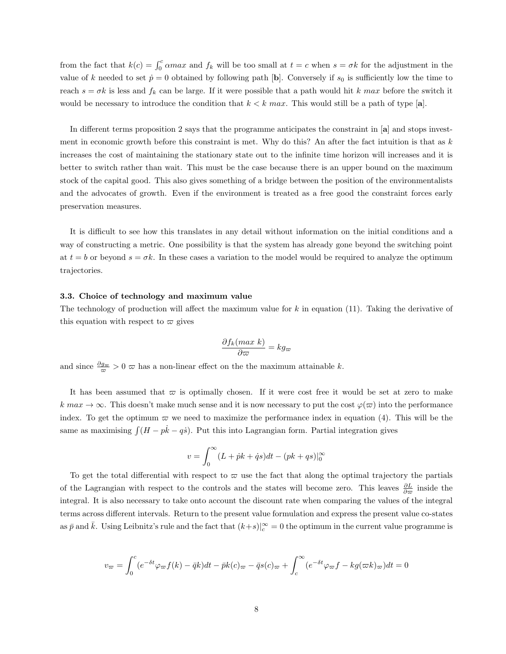from the fact that  $k(c) = \int_0^c \alpha max$  and  $f_k$  will be too small at  $t = c$  when  $s = \sigma k$  for the adjustment in the value of k needed to set  $\dot{p} = 0$  obtained by following path [b]. Conversely if  $s_0$  is sufficiently low the time to reach  $s = \sigma k$  is less and  $f_k$  can be large. If it were possible that a path would hit k max before the switch it would be necessary to introduce the condition that  $k < k$  max. This would still be a path of type [a].

In different terms proposition 2 says that the programme anticipates the constraint in [a] and stops investment in economic growth before this constraint is met. Why do this? An after the fact intuition is that as  $k$ increases the cost of maintaining the stationary state out to the infinite time horizon will increases and it is better to switch rather than wait. This must be the case because there is an upper bound on the maximum stock of the capital good. This also gives something of a bridge between the position of the environmentalists and the advocates of growth. Even if the environment is treated as a free good the constraint forces early preservation measures.

It is difficult to see how this translates in any detail without information on the initial conditions and a way of constructing a metric. One possibility is that the system has already gone beyond the switching point at  $t = b$  or beyond  $s = \sigma k$ . In these cases a variation to the model would be required to analyze the optimum trajectories.

#### 3.3. Choice of technology and maximum value

The technology of production will affect the maximum value for  $k$  in equation (11). Taking the derivative of this equation with respect to  $\varpi$  gives

$$
\frac{\partial f_k(max\ k)}{\partial \varpi} = kg_{\varpi}
$$

and since  $\frac{\partial g_{\varpi}}{\varpi} > 0$   $\varpi$  has a non-linear effect on the the maximum attainable k.

It has been assumed that  $\varpi$  is optimally chosen. If it were cost free it would be set at zero to make  $k \, max \rightarrow \infty$ . This doesn't make much sense and it is now necessary to put the cost  $\varphi(\varpi)$  into the performance index. To get the optimum  $\varpi$  we need to maximize the performance index in equation (4). This will be the same as maximising  $\int (H - p\dot{k} - q\dot{s})$ . Put this into Lagrangian form. Partial integration gives

$$
v = \int_0^\infty (L + \dot{p}k + \dot{q}s)dt - (pk + qs)|_0^\infty
$$

To get the total differential with respect to  $\varpi$  use the fact that along the optimal trajectory the partials of the Lagrangian with respect to the controls and the states will become zero. This leaves  $\frac{\partial L}{\partial \varpi}$  inside the integral. It is also necessary to take onto account the discount rate when comparing the values of the integral terms across different intervals. Return to the present value formulation and express the present value co-states as  $\bar{p}$  and  $\bar{k}$ . Using Leibnitz's rule and the fact that  $(k+s)|_c^{\infty} = 0$  the optimum in the current value programme is

$$
v_{\varpi} = \int_0^c (e^{-\delta t} \varphi_{\varpi} f(k) - \bar{q}k) dt - \bar{p}k(c)_{\varpi} - \bar{q}s(c)_{\varpi} + \int_c^{\infty} (e^{-\delta t} \varphi_{\varpi} f - kg(\varpi k)_{\varpi}) dt = 0
$$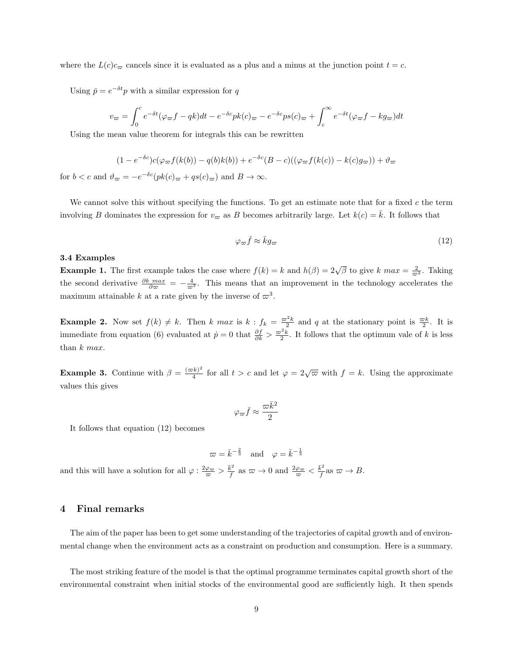where the  $L(c)_{c_{\overline{n}}}$  cancels since it is evaluated as a plus and a minus at the junction point  $t = c$ .

Using  $\bar{p} = e^{-\delta t}p$  with a similar expression for q

$$
v_{\varpi} = \int_0^c e^{-\delta t} (\varphi_{\varpi} f - qk) dt - e^{-\delta c} p k(c)_{\varpi} - e^{-\delta c} p s(c)_{\varpi} + \int_c^{\infty} e^{-\delta t} (\varphi_{\varpi} f - k g_{\varpi}) dt
$$

Using the mean value theorem for integrals this can be rewritten

$$
(1 - e^{-\delta c})c(\varphi_{\varpi}f(k(b)) - q(b)k(b)) + e^{-\delta c}(B - c)((\varphi_{\varpi}f(k(c)) - k(c)g_{\varpi})) + \vartheta_{\varpi}
$$

for  $b < c$  and  $\vartheta_{\varpi} = -e^{-\delta c}(pk(c)_{\varpi} + qs(c)_{\varpi})$  and  $B \to \infty$ .

We cannot solve this without specifying the functions. To get an estimate note that for a fixed  $c$  the term involving B dominates the expression for  $v_{\infty}$  as B becomes arbitrarily large. Let  $k(c) = \overline{k}$ . It follows that

$$
\varphi_{\varpi} \bar{f} \approx \bar{k} g_{\varpi} \tag{12}
$$

### 3.4 Examples

**Example 1.** The first example takes the case where  $f(k) = k$  and  $h(\beta) = 2\sqrt{\beta}$  to give k  $max = \frac{2}{\varpi^2}$ . Taking the second derivative  $\frac{\partial k \max}{\partial \sigma} = -\frac{4}{\sigma^3}$ . This means that an improvement in the technology accelerates the maximum attainable k at a rate given by the inverse of  $\varpi^3$ .

**Example 2.** Now set  $f(k) \neq k$ . Then k max is  $k : f_k = \frac{\omega^2 k}{2}$  and q at the stationary point is  $\frac{\omega k}{2}$ . It is immediate from equation (6) evaluated at  $\dot{p} = 0$  that  $\frac{\partial f}{\partial k} > \frac{\varpi^2 k}{2}$ . It follows that the optimum vale of k is less than  $k$  max.

**Example 3.** Continue with  $\beta = \frac{(\varpi k)^2}{4}$  $\frac{(k)^2}{4}$  for all  $t > c$  and let  $\varphi = 2\sqrt{\varpi}$  with  $f = k$ . Using the approximate values this gives

$$
\varphi_{\varpi} \bar{f} \approx \frac{\varpi \bar{k}^2}{2}
$$

It follows that equation (12) becomes

$$
\varpi = \bar{k}^{-\frac{2}{3}} \quad \text{and} \quad \varphi = \bar{k}^{-\frac{1}{3}}
$$

and this will have a solution for all  $\varphi: \frac{2\varphi_{\varpi}}{\varpi} > \frac{\bar{k}^2}{\bar{f}}$  as  $\varpi \to 0$  and  $\frac{2\varphi_{\varpi}}{\varpi} < \frac{\bar{k}^2}{\bar{f}}$  as  $\varpi \to B$ .

## 4 Final remarks

The aim of the paper has been to get some understanding of the trajectories of capital growth and of environmental change when the environment acts as a constraint on production and consumption. Here is a summary.

The most striking feature of the model is that the optimal programme terminates capital growth short of the environmental constraint when initial stocks of the environmental good are sufficiently high. It then spends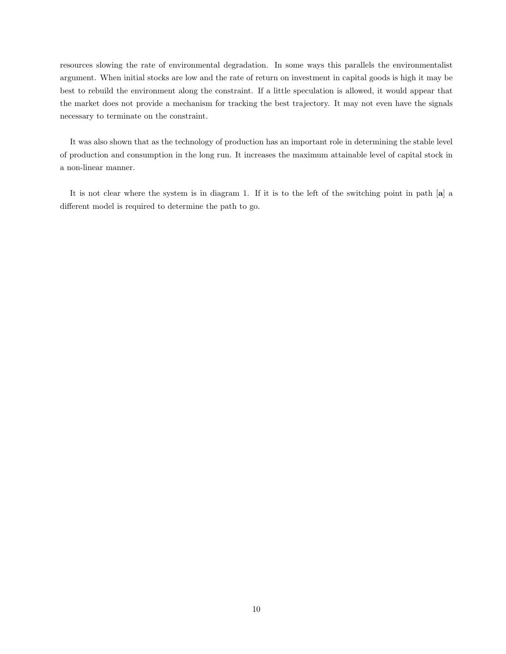resources slowing the rate of environmental degradation. In some ways this parallels the environmentalist argument. When initial stocks are low and the rate of return on investment in capital goods is high it may be best to rebuild the environment along the constraint. If a little speculation is allowed, it would appear that the market does not provide a mechanism for tracking the best trajectory. It may not even have the signals necessary to terminate on the constraint.

It was also shown that as the technology of production has an important role in determining the stable level of production and consumption in the long run. It increases the maximum attainable level of capital stock in a non-linear manner.

It is not clear where the system is in diagram 1. If it is to the left of the switching point in path [a] a different model is required to determine the path to go.